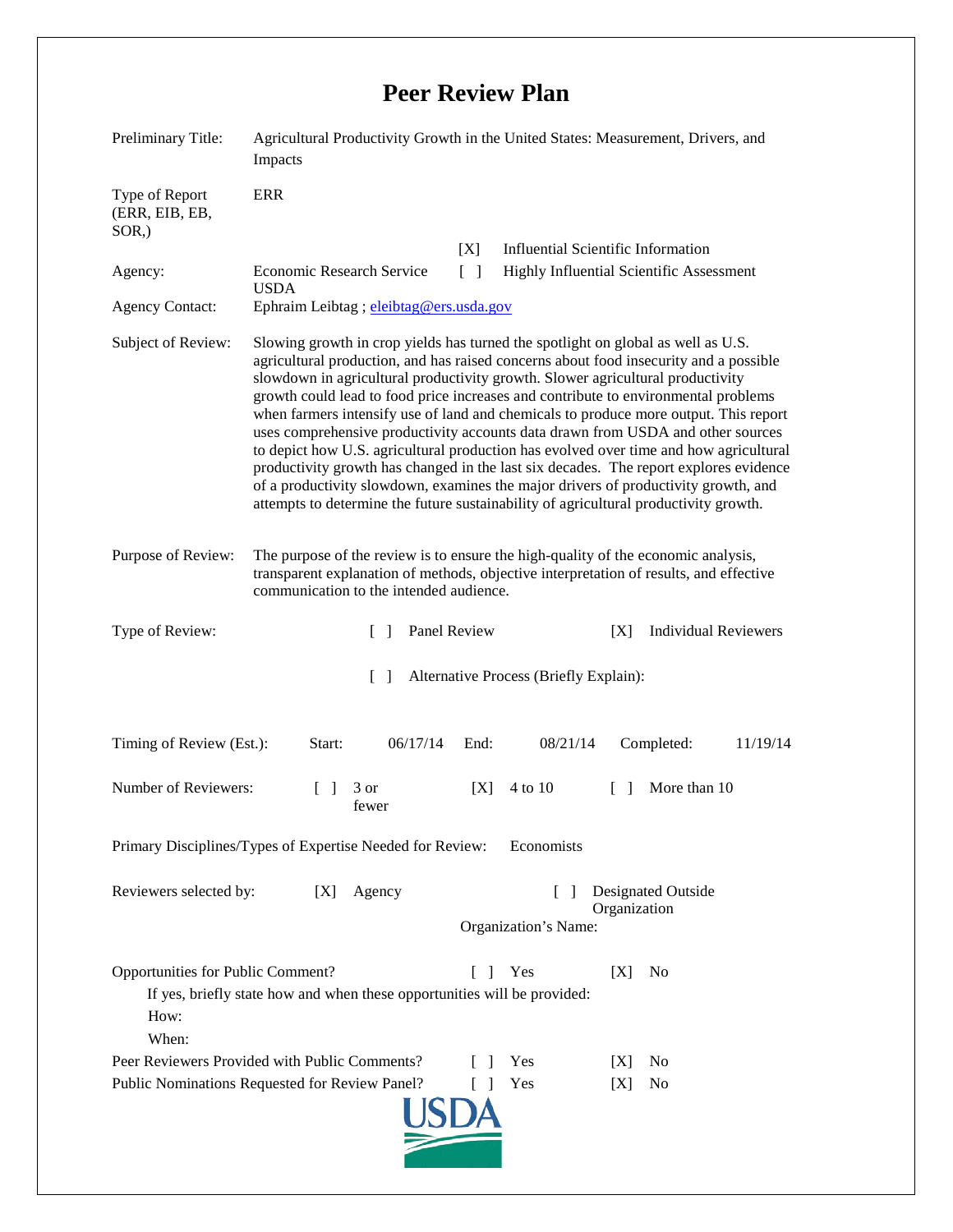## **Peer Review Plan**

| Preliminary Title:                                                                                                                                                                    | Agricultural Productivity Growth in the United States: Measurement, Drivers, and<br>Impacts                                                                                                                                                                                                                                                                                                                                                                                                                                                                                                                                                                                                                                                                                                                                                                                                  |     |                                                                            |                                    |
|---------------------------------------------------------------------------------------------------------------------------------------------------------------------------------------|----------------------------------------------------------------------------------------------------------------------------------------------------------------------------------------------------------------------------------------------------------------------------------------------------------------------------------------------------------------------------------------------------------------------------------------------------------------------------------------------------------------------------------------------------------------------------------------------------------------------------------------------------------------------------------------------------------------------------------------------------------------------------------------------------------------------------------------------------------------------------------------------|-----|----------------------------------------------------------------------------|------------------------------------|
| Type of Report<br>(ERR, EIB, EB,<br>$SOR$ <sub>,</sub> )                                                                                                                              | <b>ERR</b>                                                                                                                                                                                                                                                                                                                                                                                                                                                                                                                                                                                                                                                                                                                                                                                                                                                                                   |     |                                                                            |                                    |
|                                                                                                                                                                                       |                                                                                                                                                                                                                                                                                                                                                                                                                                                                                                                                                                                                                                                                                                                                                                                                                                                                                              | [X] | <b>Influential Scientific Information</b>                                  |                                    |
| Agency:                                                                                                                                                                               | <b>Economic Research Service</b><br><b>USDA</b>                                                                                                                                                                                                                                                                                                                                                                                                                                                                                                                                                                                                                                                                                                                                                                                                                                              |     | $\lceil \; \rceil$<br>Highly Influential Scientific Assessment             |                                    |
| <b>Agency Contact:</b>                                                                                                                                                                | Ephraim Leibtag ; eleibtag@ers.usda.gov                                                                                                                                                                                                                                                                                                                                                                                                                                                                                                                                                                                                                                                                                                                                                                                                                                                      |     |                                                                            |                                    |
| Subject of Review:                                                                                                                                                                    | Slowing growth in crop yields has turned the spotlight on global as well as U.S.<br>agricultural production, and has raised concerns about food insecurity and a possible<br>slowdown in agricultural productivity growth. Slower agricultural productivity<br>growth could lead to food price increases and contribute to environmental problems<br>when farmers intensify use of land and chemicals to produce more output. This report<br>uses comprehensive productivity accounts data drawn from USDA and other sources<br>to depict how U.S. agricultural production has evolved over time and how agricultural<br>productivity growth has changed in the last six decades. The report explores evidence<br>of a productivity slowdown, examines the major drivers of productivity growth, and<br>attempts to determine the future sustainability of agricultural productivity growth. |     |                                                                            |                                    |
| Purpose of Review:                                                                                                                                                                    | The purpose of the review is to ensure the high-quality of the economic analysis,<br>transparent explanation of methods, objective interpretation of results, and effective<br>communication to the intended audience.                                                                                                                                                                                                                                                                                                                                                                                                                                                                                                                                                                                                                                                                       |     |                                                                            |                                    |
| Type of Review:                                                                                                                                                                       | Panel Review<br>$\Box$                                                                                                                                                                                                                                                                                                                                                                                                                                                                                                                                                                                                                                                                                                                                                                                                                                                                       |     |                                                                            | <b>Individual Reviewers</b><br>[X] |
| $\lceil \rceil$<br>Alternative Process (Briefly Explain):                                                                                                                             |                                                                                                                                                                                                                                                                                                                                                                                                                                                                                                                                                                                                                                                                                                                                                                                                                                                                                              |     |                                                                            |                                    |
| 06/17/14<br>Timing of Review (Est.):<br>Start:<br>End:<br>08/21/14<br>Completed:<br>11/19/14                                                                                          |                                                                                                                                                                                                                                                                                                                                                                                                                                                                                                                                                                                                                                                                                                                                                                                                                                                                                              |     |                                                                            |                                    |
| Number of Reviewers:                                                                                                                                                                  | 3 or<br>$\perp$<br>fewer                                                                                                                                                                                                                                                                                                                                                                                                                                                                                                                                                                                                                                                                                                                                                                                                                                                                     | [X] | 4 to 10                                                                    | More than 10<br>$\Box$             |
| Primary Disciplines/Types of Expertise Needed for Review:<br>Economists                                                                                                               |                                                                                                                                                                                                                                                                                                                                                                                                                                                                                                                                                                                                                                                                                                                                                                                                                                                                                              |     |                                                                            |                                    |
| Reviewers selected by:<br>Agency<br>[X]                                                                                                                                               |                                                                                                                                                                                                                                                                                                                                                                                                                                                                                                                                                                                                                                                                                                                                                                                                                                                                                              |     | Designated Outside<br>$\mathsf{L}$<br>Organization<br>Organization's Name: |                                    |
| Opportunities for Public Comment?<br>Yes<br>[X]<br>N <sub>0</sub><br>- 1<br>$\mathbf{I}$<br>If yes, briefly state how and when these opportunities will be provided:<br>How:<br>When: |                                                                                                                                                                                                                                                                                                                                                                                                                                                                                                                                                                                                                                                                                                                                                                                                                                                                                              |     |                                                                            |                                    |
| Peer Reviewers Provided with Public Comments?<br>Yes<br>No<br>[X]                                                                                                                     |                                                                                                                                                                                                                                                                                                                                                                                                                                                                                                                                                                                                                                                                                                                                                                                                                                                                                              |     |                                                                            |                                    |
| Public Nominations Requested for Review Panel?<br>Yes<br>$\Box$                                                                                                                       |                                                                                                                                                                                                                                                                                                                                                                                                                                                                                                                                                                                                                                                                                                                                                                                                                                                                                              |     |                                                                            | No<br>[X]                          |
|                                                                                                                                                                                       |                                                                                                                                                                                                                                                                                                                                                                                                                                                                                                                                                                                                                                                                                                                                                                                                                                                                                              |     |                                                                            |                                    |